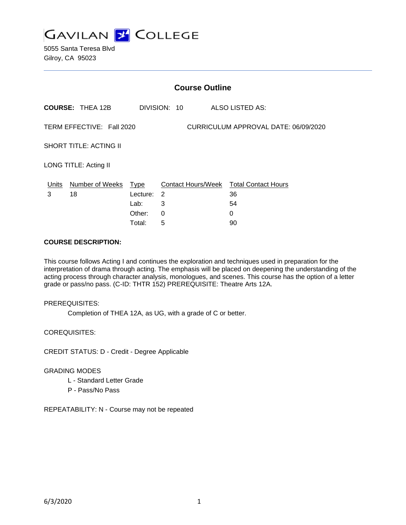

5055 Santa Teresa Blvd Gilroy, CA 95023

| <b>Course Outline</b>                                             |                         |                                              |                  |                                                               |  |
|-------------------------------------------------------------------|-------------------------|----------------------------------------------|------------------|---------------------------------------------------------------|--|
|                                                                   | <b>COURSE: THEA 12B</b> |                                              | DIVISION: 10     | ALSO LISTED AS:                                               |  |
| TERM EFFECTIVE: Fall 2020<br>CURRICULUM APPROVAL DATE: 06/09/2020 |                         |                                              |                  |                                                               |  |
| <b>SHORT TITLE: ACTING II</b>                                     |                         |                                              |                  |                                                               |  |
| LONG TITLE: Acting II                                             |                         |                                              |                  |                                                               |  |
| Units<br>3                                                        | Number of Weeks<br>18   | Type<br>Lecture:<br>Lab:<br>Other:<br>Total: | 2<br>3<br>0<br>5 | Contact Hours/Week Total Contact Hours<br>36<br>54<br>0<br>90 |  |

### **COURSE DESCRIPTION:**

This course follows Acting I and continues the exploration and techniques used in preparation for the interpretation of drama through acting. The emphasis will be placed on deepening the understanding of the acting process through character analysis, monologues, and scenes. This course has the option of a letter grade or pass/no pass. (C-ID: THTR 152) PREREQUISITE: Theatre Arts 12A.

#### PREREQUISITES:

Completion of THEA 12A, as UG, with a grade of C or better.

COREQUISITES:

CREDIT STATUS: D - Credit - Degree Applicable

### GRADING MODES

- L Standard Letter Grade
- P Pass/No Pass

REPEATABILITY: N - Course may not be repeated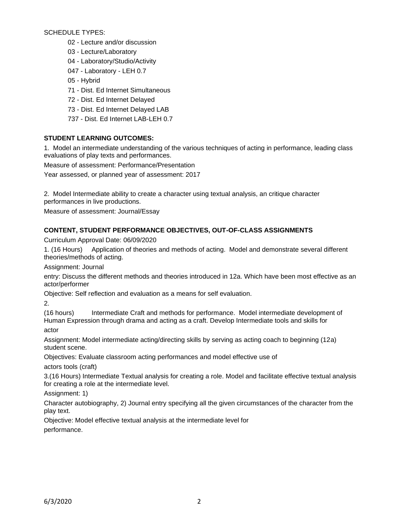SCHEDULE TYPES:

- 02 Lecture and/or discussion
- 03 Lecture/Laboratory
- 04 Laboratory/Studio/Activity
- 047 Laboratory LEH 0.7
- 05 Hybrid
- 71 Dist. Ed Internet Simultaneous
- 72 Dist. Ed Internet Delayed
- 73 Dist. Ed Internet Delayed LAB
- 737 Dist. Ed Internet LAB-LEH 0.7

# **STUDENT LEARNING OUTCOMES:**

1. Model an intermediate understanding of the various techniques of acting in performance, leading class evaluations of play texts and performances.

Measure of assessment: Performance/Presentation

Year assessed, or planned year of assessment: 2017

2. Model Intermediate ability to create a character using textual analysis, an critique character performances in live productions.

Measure of assessment: Journal/Essay

# **CONTENT, STUDENT PERFORMANCE OBJECTIVES, OUT-OF-CLASS ASSIGNMENTS**

Curriculum Approval Date: 06/09/2020

1. (16 Hours) Application of theories and methods of acting. Model and demonstrate several different theories/methods of acting.

Assignment: Journal

entry: Discuss the different methods and theories introduced in 12a. Which have been most effective as an actor/performer

Objective: Self reflection and evaluation as a means for self evaluation.

2.

(16 hours) Intermediate Craft and methods for performance. Model intermediate development of Human Expression through drama and acting as a craft. Develop Intermediate tools and skills for actor

Assignment: Model intermediate acting/directing skills by serving as acting coach to beginning (12a) student scene.

Objectives: Evaluate classroom acting performances and model effective use of

actors tools (craft)

3.(16 Hours) Intermediate Textual analysis for creating a role. Model and facilitate effective textual analysis for creating a role at the intermediate level.

Assignment: 1)

Character autobiography, 2) Journal entry specifying all the given circumstances of the character from the play text.

Objective: Model effective textual analysis at the intermediate level for performance.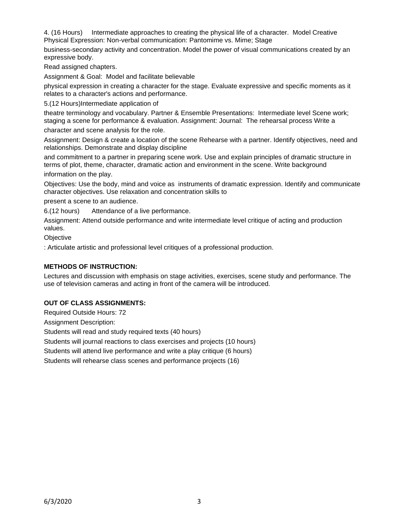4. (16 Hours) Intermediate approaches to creating the physical life of a character. Model Creative Physical Expression: Non-verbal communication: Pantomime vs. Mime; Stage

business-secondary activity and concentration. Model the power of visual communications created by an expressive body.

Read assigned chapters.

Assignment & Goal: Model and facilitate believable

physical expression in creating a character for the stage. Evaluate expressive and specific moments as it relates to a character's actions and performance.

5.(12 Hours)Intermediate application of

theatre terminology and vocabulary. Partner & Ensemble Presentations: Intermediate level Scene work; staging a scene for performance & evaluation. Assignment: Journal: The rehearsal process Write a

character and scene analysis for the role.

Assignment: Design & create a location of the scene Rehearse with a partner. Identify objectives, need and relationships. Demonstrate and display discipline

and commitment to a partner in preparing scene work. Use and explain principles of dramatic structure in terms of plot, theme, character, dramatic action and environment in the scene. Write background information on the play.

Objectives: Use the body, mind and voice as instruments of dramatic expression. Identify and communicate character objectives. Use relaxation and concentration skills to

present a scene to an audience.

6.(12 hours) Attendance of a live performance.

Assignment: Attend outside performance and write intermediate level critique of acting and production values.

**Objective** 

: Articulate artistic and professional level critiques of a professional production.

#### **METHODS OF INSTRUCTION:**

Lectures and discussion with emphasis on stage activities, exercises, scene study and performance. The use of television cameras and acting in front of the camera will be introduced.

### **OUT OF CLASS ASSIGNMENTS:**

Required Outside Hours: 72 Assignment Description: Students will read and study required texts (40 hours) Students will journal reactions to class exercises and projects (10 hours) Students will attend live performance and write a play critique (6 hours) Students will rehearse class scenes and performance projects (16)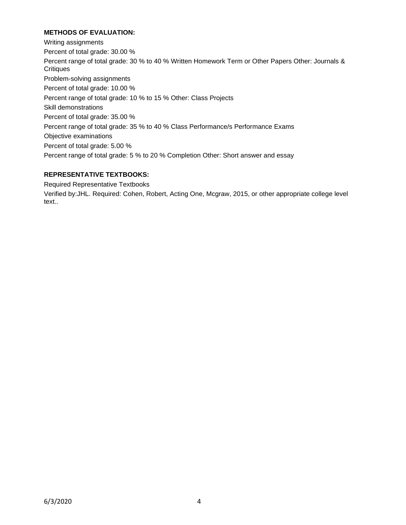# **METHODS OF EVALUATION:**

Writing assignments Percent of total grade: 30.00 % Percent range of total grade: 30 % to 40 % Written Homework Term or Other Papers Other: Journals & **Critiques** Problem-solving assignments Percent of total grade: 10.00 % Percent range of total grade: 10 % to 15 % Other: Class Projects Skill demonstrations Percent of total grade: 35.00 % Percent range of total grade: 35 % to 40 % Class Performance/s Performance Exams Objective examinations Percent of total grade: 5.00 % Percent range of total grade: 5 % to 20 % Completion Other: Short answer and essay

# **REPRESENTATIVE TEXTBOOKS:**

Required Representative Textbooks

Verified by:JHL. Required: Cohen, Robert, Acting One, Mcgraw, 2015, or other appropriate college level text..